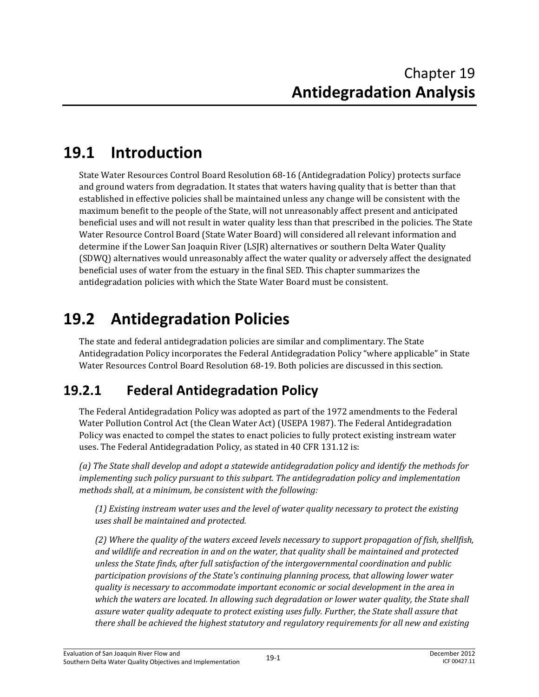## **19.1 Introduction**

State Water Resources Control Board Resolution 68-16 (Antidegradation Policy) protects surface and ground waters from degradation. It states that waters having quality that is better than that established in effective policies shall be maintained unless any change will be consistent with the maximum benefit to the people of the State, will not unreasonably affect present and anticipated beneficial uses and will not result in water quality less than that prescribed in the policies. The State Water Resource Control Board (State Water Board) will considered all relevant information and determine if the Lower San Joaquin River (LSJR) alternatives or southern Delta Water Quality (SDWQ) alternatives would unreasonably affect the water quality or adversely affect the designated beneficial uses of water from the estuary in the final SED. This chapter summarizes the antidegradation policies with which the State Water Board must be consistent.

## **19.2 Antidegradation Policies**

The state and federal antidegradation policies are similar and complimentary. The State Antidegradation Policy incorporates the Federal Antidegradation Policy "where applicable" in State Water Resources Control Board Resolution 68-19. Both policies are discussed in this section.

#### **19.2.1 Federal Antidegradation Policy**

The Federal Antidegradation Policy was adopted as part of the 1972 amendments to the Federal Water Pollution Control Act (the Clean Water Act) (USEPA 1987). The Federal Antidegradation Policy was enacted to compel the states to enact policies to fully protect existing instream water uses. The Federal Antidegradation Policy, as stated in 40 CFR 131.12 is:

*(a) The State shall develop and adopt a statewide antidegradation policy and identify the methods for implementing such policy pursuant to this subpart. The antidegradation policy and implementation methods shall, at a minimum, be consistent with the following:* 

*(1) Existing instream water uses and the level of water quality necessary to protect the existing uses shall be maintained and protected.* 

*(2) Where the quality of the waters exceed levels necessary to support propagation of fish, shellfish, and wildlife and recreation in and on the water, that quality shall be maintained and protected unless the State finds, after full satisfaction of the intergovernmental coordination and public participation provisions of the State's continuing planning process, that allowing lower water quality is necessary to accommodate important economic or social development in the area in*  which the waters are located. In allowing such degradation or lower water quality, the State shall *assure water quality adequate to protect existing uses fully. Further, the State shall assure that there shall be achieved the highest statutory and regulatory requirements for all new and existing*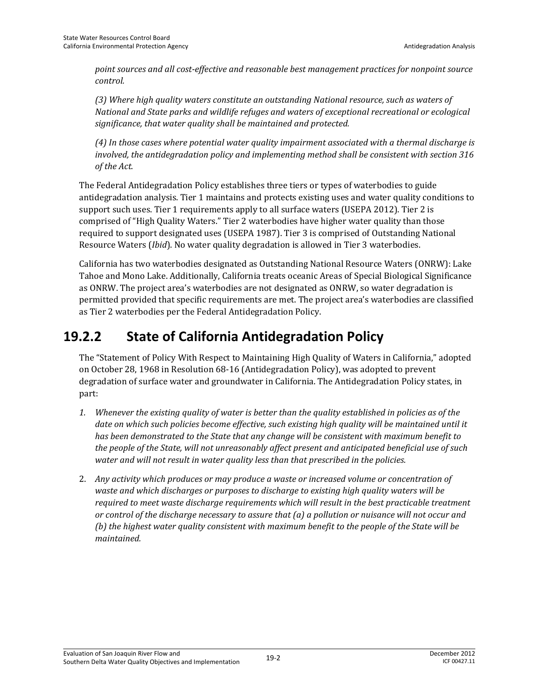*point sources and all cost-effective and reasonable best management practices for nonpoint source control.* 

*(3) Where high quality waters constitute an outstanding National resource, such as waters of National and State parks and wildlife refuges and waters of exceptional recreational or ecological significance, that water quality shall be maintained and protected.* 

*(4) In those cases where potential water quality impairment associated with a thermal discharge is involved, the antidegradation policy and implementing method shall be consistent with section 316 of the Act.* 

The Federal Antidegradation Policy establishes three tiers or types of waterbodies to guide antidegradation analysis. Tier 1 maintains and protects existing uses and water quality conditions to support such uses. Tier 1 requirements apply to all surface waters (USEPA 2012). Tier 2 is comprised of "High Quality Waters." Tier 2 waterbodies have higher water quality than those required to support designated uses (USEPA 1987). Tier 3 is comprised of Outstanding National Resource Waters (*Ibid*). No water quality degradation is allowed in Tier 3 waterbodies.

California has two waterbodies designated as Outstanding National Resource Waters (ONRW): Lake Tahoe and Mono Lake. Additionally, California treats oceanic Areas of Special Biological Significance as ONRW. The project area's waterbodies are not designated as ONRW, so water degradation is permitted provided that specific requirements are met. The project area's waterbodies are classified as Tier 2 waterbodies per the Federal Antidegradation Policy.

#### **19.2.2 State of California Antidegradation Policy**

The "Statement of Policy With Respect to Maintaining High Quality of Waters in California," adopted on October 28, 1968 in Resolution 68-16 (Antidegradation Policy), was adopted to prevent degradation of surface water and groundwater in California. The Antidegradation Policy states, in part:

- *1. Whenever the existing quality of water is better than the quality established in policies as of the date on which such policies become effective, such existing high quality will be maintained until it has been demonstrated to the State that any change will be consistent with maximum benefit to the people of the State, will not unreasonably affect present and anticipated beneficial use of such water and will not result in water quality less than that prescribed in the policies.*
- 2. *Any activity which produces or may produce a waste or increased volume or concentration of waste and which discharges or purposes to discharge to existing high quality waters will be required to meet waste discharge requirements which will result in the best practicable treatment or control of the discharge necessary to assure that (a) a pollution or nuisance will not occur and (b) the highest water quality consistent with maximum benefit to the people of the State will be maintained.*